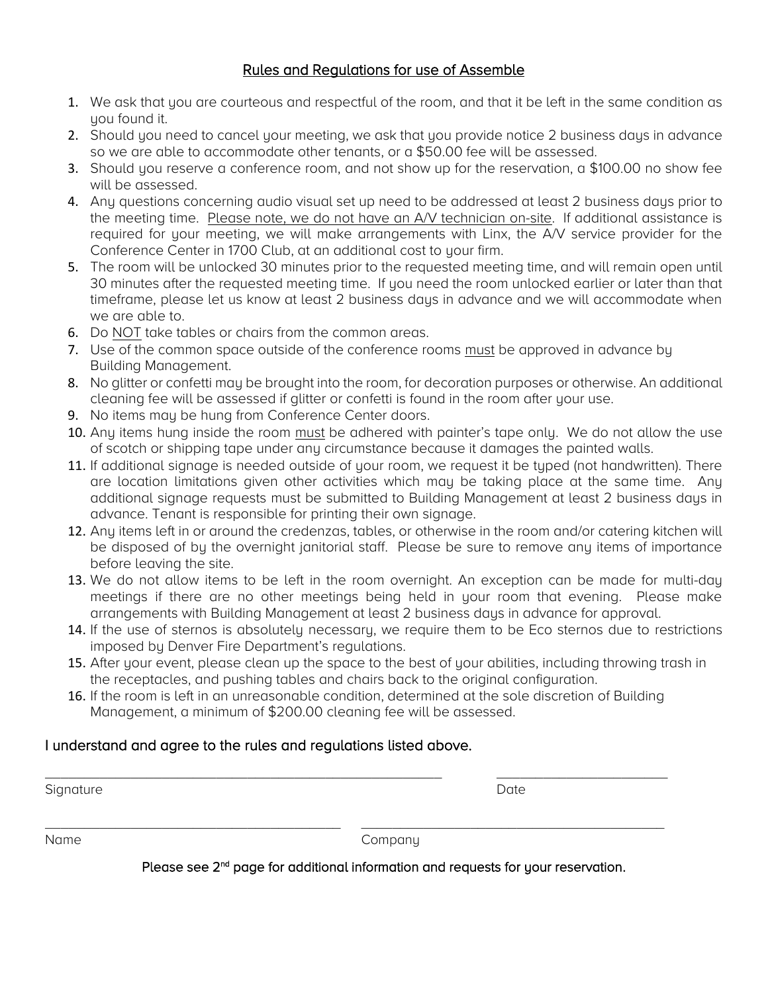# Rules and Regulations for use of Assemble

- 1. We ask that you are courteous and respectful of the room, and that it be left in the same condition as uou found it.
- 2. Should you need to cancel your meeting, we ask that you provide notice 2 business days in advance so we are able to accommodate other tenants, or a \$50.00 fee will be assessed.
- 3. Should you reserve a conference room, and not show up for the reservation, a \$100.00 no show fee will be assessed.
- 4. Any questions concerning audio visual set up need to be addressed at least 2 business days prior to the meeting time. Please note, we do not have an A/V technician on-site. If additional assistance is required for your meeting, we will make arrangements with Linx, the A/V service provider for the Conference Center in 1700 Club, at an additional cost to your firm.
- 5. The room will be unlocked 30 minutes prior to the requested meeting time, and will remain open until 30 minutes after the requested meeting time. If you need the room unlocked earlier or later than that timeframe, please let us know at least 2 business days in advance and we will accommodate when we are able to.
- 6. Do NOT take tables or chairs from the common areas.
- 7. Use of the common space outside of the conference rooms must be approved in advance by Building Management.
- 8. No glitter or confetti may be brought into the room, for decoration purposes or otherwise. An additional cleaning fee will be assessed if glitter or confetti is found in the room after your use.
- 9. No items may be hung from Conference Center doors.
- 10. Any items hung inside the room must be adhered with painter's tape only. We do not allow the use of scotch or shipping tape under any circumstance because it damages the painted walls.
- 11. If additional signage is needed outside of your room, we request it be typed (not handwritten). There are location limitations given other activities which may be taking place at the same time. Any additional signage requests must be submitted to Building Management at least 2 business days in advance. Tenant is responsible for printing their own signage.
- 12. Any items left in or around the credenzas, tables, or otherwise in the room and/or catering kitchen will be disposed of by the overnight janitorial staff. Please be sure to remove any items of importance before leaving the site.
- 13. We do not allow items to be left in the room overnight. An exception can be made for multi-day meetings if there are no other meetings being held in your room that evening. Please make arrangements with Building Management at least 2 business days in advance for approval.
- 14. If the use of sternos is absolutely necessary, we require them to be Eco sternos due to restrictions imposed by Denver Fire Department's regulations.
- 15. After your event, please clean up the space to the best of your abilities, including throwing trash in the receptacles, and pushing tables and chairs back to the original configuration.
- 16. If the room is left in an unreasonable condition, determined at the sole discretion of Building Management, a minimum of \$200.00 cleaning fee will be assessed.

\_\_\_\_\_\_\_\_\_\_\_\_\_\_\_\_\_\_\_\_\_\_\_\_\_\_\_\_\_\_\_\_\_\_\_\_\_\_\_\_\_\_\_\_\_\_\_\_\_\_\_ \_\_\_\_\_\_\_\_\_\_\_\_\_\_\_\_\_\_\_\_\_\_

\_\_\_\_\_\_\_\_\_\_\_\_\_\_\_\_\_\_\_\_\_\_\_\_\_\_\_\_\_\_\_\_\_\_\_\_\_\_ \_\_\_\_\_\_\_\_\_\_\_\_\_\_\_\_\_\_\_\_\_\_\_\_\_\_\_\_\_\_\_\_\_\_\_\_\_\_\_

# I understand and agree to the rules and regulations listed above.

Signature Date Date of the Date of the Date of the Date of the Date of the Date of the Date of the Date of the Date of the Date of the Date of the Date of the Date of the Date of the Date of the Date of the Date of the Dat

Name Company

Please see 2<sup>nd</sup> page for additional information and requests for your reservation.